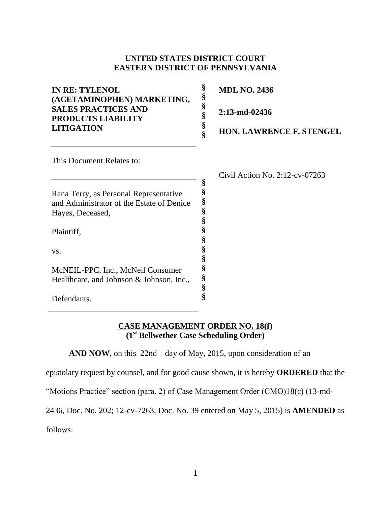## **UNITED STATES DISTRICT COURT EASTERN DISTRICT OF PENNSYLVANIA**

| <b>IN RE: TYLENOL</b><br>(ACETAMINOPHEN) MARKETING,                                                     |   | <b>MDL NO. 2436</b>               |
|---------------------------------------------------------------------------------------------------------|---|-----------------------------------|
| <b>SALES PRACTICES AND</b><br>PRODUCTS LIABILITY<br><b>LITIGATION</b>                                   | § | $2:13$ -md-02436                  |
|                                                                                                         |   | <b>HON. LAWRENCE F. STENGEL</b>   |
| This Document Relates to:                                                                               |   |                                   |
|                                                                                                         |   | Civil Action No. $2:12$ -cv-07263 |
| Rana Terry, as Personal Representative<br>and Administrator of the Estate of Denice<br>Hayes, Deceased, | § |                                   |
| Plaintiff.                                                                                              |   |                                   |

**§ § § § § § §**

Plaintiff,

vs.

McNEIL-PPC, Inc., McNeil Consumer Healthcare, and Johnson & Johnson, Inc.,

Defendants.

## **CASE MANAGEMENT ORDER NO. 18(f) (1st Bellwether Case Scheduling Order)**

AND NOW, on this **22nd** day of May, 2015, upon consideration of an

epistolary request by counsel, and for good cause shown, it is hereby **ORDERED** that the

"Motions Practice" section (para. 2) of Case Management Order (CMO)18(c) (13-md-

2436, Doc. No. 202; 12-cv-7263, Doc. No. 39 entered on May 5, 2015) is **AMENDED** as

follows: